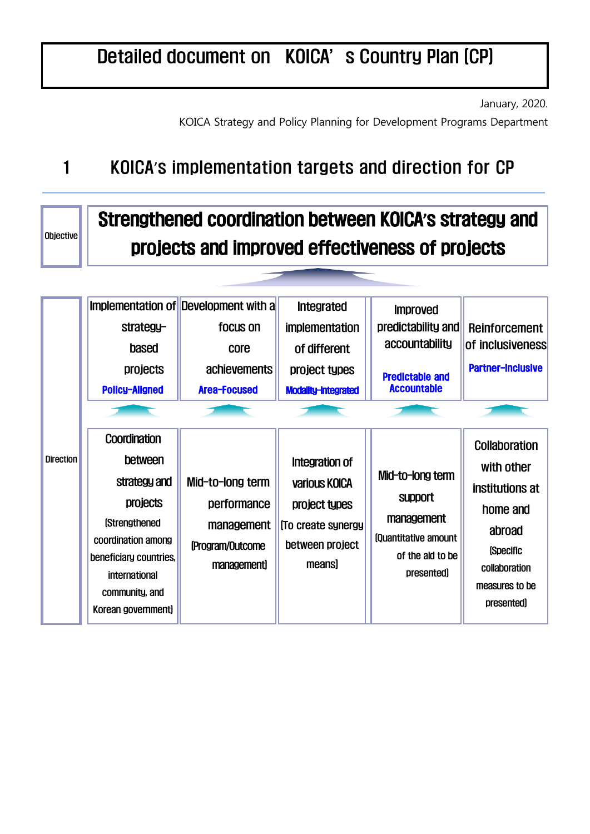## Detailed document on KOICA's Country Plan (CP)

January, 2020.

KOICA Strategy and Policy Planning for Development Programs Department

## 1 KOICA's implementation targets and direction for CP

Objective

## Strengthened coordination between KOICA**'**s strategy and projects and improved effectiveness of projects

|                  | strategy-<br>based<br><b>projects</b><br><b>Policy-Aligned</b>                                                                                                                               | Implementation of Development with a<br>focus on<br>core<br>achievements<br>Area-Focused | <b>Integrated</b><br><b>implementation</b><br>of different<br>project types<br>Modality-Integrated  | <b>Improved</b><br>predictability and<br>accountability<br><b>Predictable and</b><br><b>Accountable</b>    | <b>Reinforcement</b><br><b>of inclusiveness</b><br><b>Partner-Inclusive</b>                                                                                  |
|------------------|----------------------------------------------------------------------------------------------------------------------------------------------------------------------------------------------|------------------------------------------------------------------------------------------|-----------------------------------------------------------------------------------------------------|------------------------------------------------------------------------------------------------------------|--------------------------------------------------------------------------------------------------------------------------------------------------------------|
| <b>Direction</b> | Coordination<br>between<br>strategy and<br><b>projects</b><br><b>(Strengthened)</b><br>coordination among<br>beneficiary countries,<br>international<br>community, and<br>Korean government) | Mid-to-long term<br>performance<br>management<br>(Program/Outcome<br>management)         | Integration of<br>various KOICA<br>project types<br>(To create synergy<br>between project<br>means) | Mid-to-long term<br><b>Support</b><br>management<br>fouantitative amount<br>of the aid to be<br>presented) | <b>Collaboration</b><br>with other<br>institutions at<br>home and<br>abroad<br><i><b>Specific</b></i><br>collaboration<br>measures to be<br><i>presented</i> |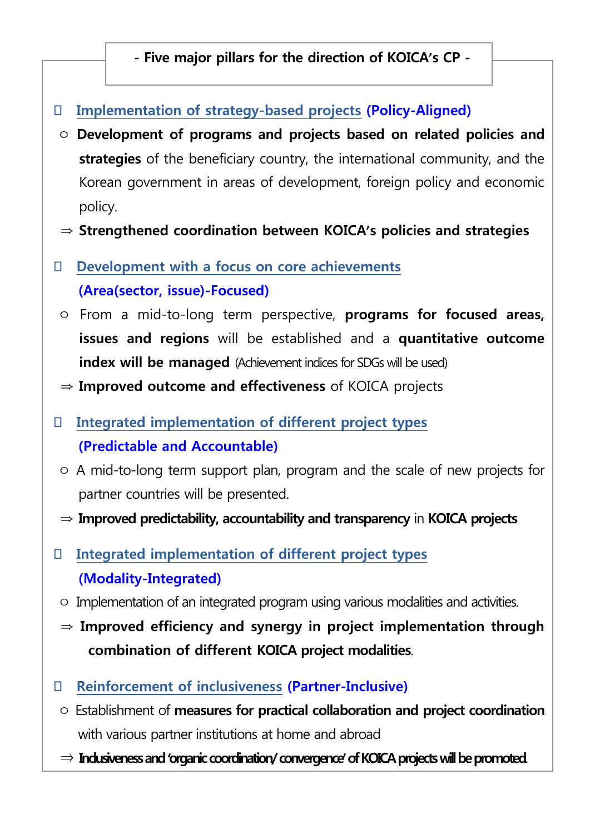**- Five major pillars for the direction of KOICA's CP -**

- **Implementation of strategy-based projects (Policy-Aligned)**
- ㅇ **Development of programs and projects based on related policies and strategies** of the beneficiary country, the international community, and the Korean government in areas of development, foreign policy and economic policy.
- ⇒ **Strengthened coordination between KOICA's policies and strategies**
- **Development with a focus on core achievements (Area(sector, issue)-Focused)**
- ㅇ From a mid-to-long term perspective, **programs for focused areas, issues and regions** will be established and a **quantitative outcome index will be managed** (Achievement indices for SDGs will be used)
- ⇒ **Improved outcome and effectiveness** of KOICA projects
- **Integrated implementation of different project types (Predictable and Accountable)**
- ㅇ A mid-to-long term support plan, program and the scale of new projects for partner countries will be presented.
- ⇒ **Improved predictability, accountability and transparency** in **KOICA projects**
- **Integrated implementation of different project types (Modality-Integrated)**
- ㅇ Implementation of an integrated program using various modalities and activities.
- ⇒ **Improved efficiency and synergy in project implementation through combination of different KOICA project modalities**.
- **Reinforcement of inclusiveness (Partner-Inclusive)**
- ㅇ Establishment of **measures for practical collaboration and project coordination** with various partner institutions at home and abroad
- ⇒ **Inclusiveness and 'organic coordination/ convergence'of KOICAprojects will be promoted**.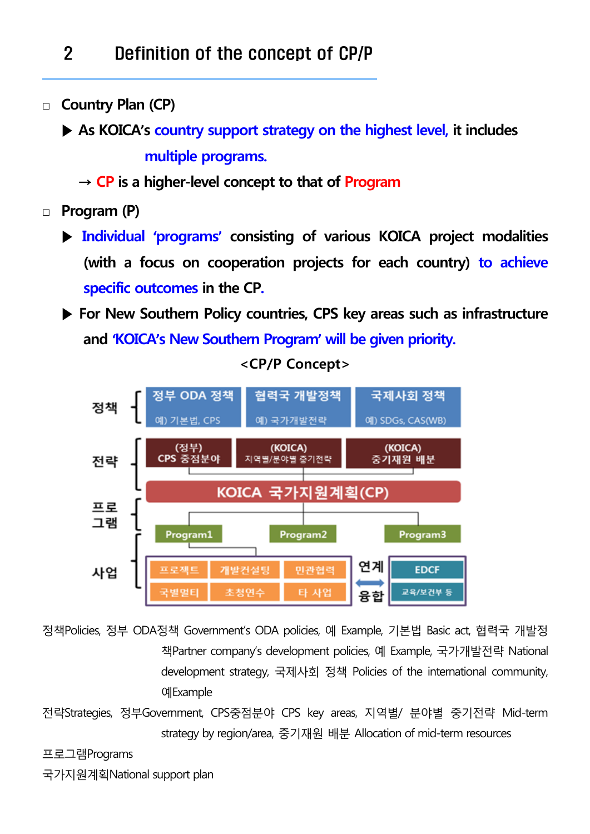## 2 Definition of the concept of CP/P

**□ Country Plan (CP)** 

 **▶ As KOICA's country support strategy on the highest level, it includes multiple programs.** 

- **→ CP is a higher-level concept to that of Program**
- **□ Program (P)**
	- **▶ Individual 'programs' consisting of various KOICA project modalities (with a focus on cooperation projects for each country) to achieve specific outcomes in the CP.**
	- ▶ For New Southern Policy countries, CPS key areas such as infrastructure **and 'KOICA's New Southern Program' will be given priority.**



**<CP/P Concept>**

정책Policies, 정부 ODA정책 Government's ODA policies, 예 Example, 기본법 Basic act, 협력국 개발정 책Partner company's development policies, 예 Example, 국가개발전략 National development strategy, 국제사회 정책 Policies of the international community, 예Example

전략Strategies, 정부Government, CPS중점분야 CPS key areas, 지역별/ 분야별 중기전략 Mid-term strategy by region/area, 중기재원 배분 Allocation of mid-term resources

프로그램Programs

국가지원계획National support plan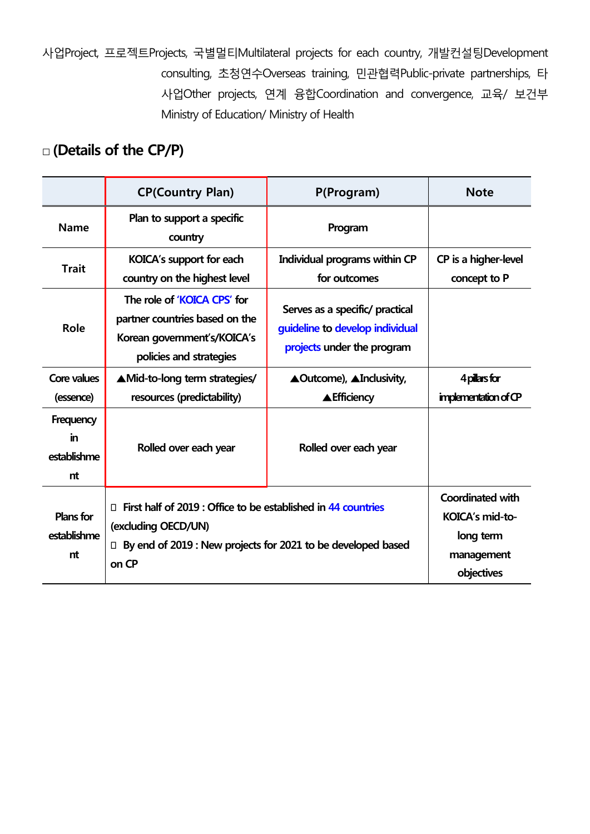사업Project, 프로젝트Projects, 국별멀티Multilateral projects for each country, 개발컨설팅Development consulting, 초청연수Overseas training, 민관협력Public-private partnerships, 타 사업Other projects, 연계 융합Coordination and convergence, 교육/ 보건부 Ministry of Education/ Ministry of Health

### **□ (Details of the CP/P)**

|                                       | <b>CP(Country Plan)</b>                                                                                                 | P(Program)                                                                                       | <b>Note</b>                                                                         |
|---------------------------------------|-------------------------------------------------------------------------------------------------------------------------|--------------------------------------------------------------------------------------------------|-------------------------------------------------------------------------------------|
| <b>Name</b>                           | Plan to support a specific<br>country                                                                                   | Program                                                                                          |                                                                                     |
| <b>Trait</b>                          | <b>KOICA's support for each</b><br>country on the highest level                                                         | Individual programs within CP<br>for outcomes                                                    | CP is a higher-level<br>concept to P                                                |
| Role                                  | The role of 'KOICA CPS' for<br>partner countries based on the<br>Korean government's/KOICA's<br>policies and strategies | Serves as a specific/ practical<br>guideline to develop individual<br>projects under the program |                                                                                     |
| Core values<br>(essence)              | AMid-to-long term strategies/<br>resources (predictability)                                                             | <b>▲Outcome), ▲Inclusivity,</b><br><b>AEfficiency</b>                                            | 4 pillars for<br>implementation of CP                                               |
| Frequency<br>in<br>establishme<br>nt  | Rolled over each year                                                                                                   | Rolled over each year                                                                            |                                                                                     |
| <b>Plans for</b><br>establishme<br>nt | First half of 2019 : Office to be established in 44 countries<br>П.<br>(excluding OECD/UN)<br>$\Box$<br>on CP           | By end of 2019 : New projects for 2021 to be developed based                                     | <b>Coordinated with</b><br>KOICA's mid-to-<br>long term<br>management<br>objectives |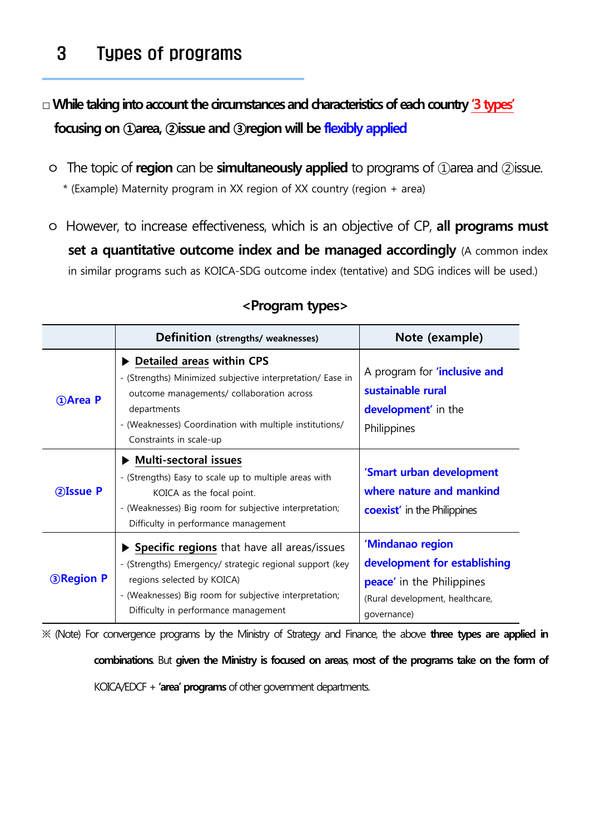## 3 Types of programs

**□While taking into account the circumstances and characteristics of each country '3types' focusing on ①area, ②issue and ③region will be flexibly applied**

ㅇ The topic of **region** can be **simultaneously applied** to programs of ①area and ②issue.

\* (Example) Maternity program in XX region of XX country (region + area)

ㅇ However, to increase effectiveness, which is an objective of CP, **all programs must set a quantitative outcome index and be managed accordingly** (A common index in similar programs such as KOICA-SDG outcome index (tentative) and SDG indices will be used.)

|                   | Definition (strengths/ weaknesses)                                                                                                                                                                                                                       | Note (example)                                                                                                                         |
|-------------------|----------------------------------------------------------------------------------------------------------------------------------------------------------------------------------------------------------------------------------------------------------|----------------------------------------------------------------------------------------------------------------------------------------|
| <b>DArea P</b>    | Detailed areas within CPS<br>- (Strengths) Minimized subjective interpretation/ Ease in<br>outcome managements/ collaboration across<br>departments<br>- (Weaknesses) Coordination with multiple institutions/<br>Constraints in scale-up                | A program for <b>'inclusive and</b><br>sustainable rural<br><b>development'</b> in the<br>Philippines                                  |
| 2Issue P          | <b>Multi-sectoral issues</b><br>- (Strengths) Easy to scale up to multiple areas with<br>KOICA as the focal point.<br>- (Weaknesses) Big room for subjective interpretation;<br>Difficulty in performance management                                     | 'Smart urban development<br>where nature and mankind<br><b>coexist'</b> in the Philippines                                             |
| <b>3 Region P</b> | $\triangleright$ Specific regions that have all areas/issues<br>- (Strengths) Emergency/ strategic regional support (key<br>regions selected by KOICA)<br>- (Weaknesses) Big room for subjective interpretation;<br>Difficulty in performance management | 'Mindanao region<br>development for establishing<br><b>peace'</b> in the Philippines<br>(Rural development, healthcare,<br>qovernance) |

#### **<Program types>**

※ (Note) For convergence programs by the Ministry of Strategy and Finance, the above **three types are applied in** 

**combinations**. But **given the Ministry is focused on areas**, **most of the programs take on the form of**

KOICA/EDCF + **'area' programs** of other government departments.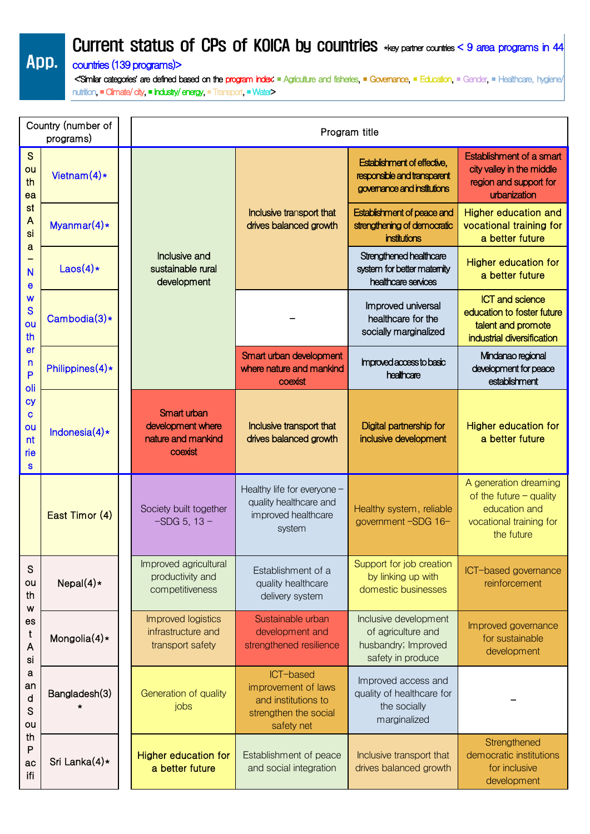Current status of CPs of KOICA by countries \*key partner countries < 9 area programs in 44

#### App. countries (139 programs)>

 <**'**Similar categories**'** are defined based on the program index: ■ Agriculture and fisheries, ■ Governance, ■ Education, ■ Gender, ■ Healthcare, hygiene/ nutrition, ■ Climate/ city, ■ Industry/ energy, ■ Transport, ■ Water>

|                                        | Country (number of<br>programs) |  | Program title                                                     |                                                                                                |                                                                                           |                                                                                                              |  |
|----------------------------------------|---------------------------------|--|-------------------------------------------------------------------|------------------------------------------------------------------------------------------------|-------------------------------------------------------------------------------------------|--------------------------------------------------------------------------------------------------------------|--|
| S<br>ou<br>th<br>ea                    | Vietnam $(4)*$                  |  |                                                                   | Inclusive transport that<br>drives balanced growth                                             | Establishment of effective,<br>responsible and transparent<br>governance and institutions | Establishment of a smart<br>city valley in the middle<br>region and support for<br>urbanization              |  |
| st<br>$\mathsf{A}$<br>si               | Myanmar $(4)*$                  |  | Inclusive and<br>sustainable rural<br>development                 |                                                                                                | Establishment of peace and<br>strengthening of democratic<br><b>institutions</b>          | Higher education and<br>vocational training for<br>a better future                                           |  |
| a<br>N<br>е                            | Laos $(4)*$                     |  |                                                                   |                                                                                                | Strengthened healthcare<br>system for better maternity<br>healthcare services             | Higher education for<br>a better future                                                                      |  |
| W<br>S<br>ou<br>th                     | Cambodia $(3)*$                 |  |                                                                   |                                                                                                | Improved universal<br>healthcare for the<br>socially marginalized                         | <b>ICT and science</b><br>education to foster future<br>talent and promote<br>industrial diversification     |  |
| er<br>n<br>P<br>oli                    | Philippines $(4)*$              |  |                                                                   | Smart urban development<br>where nature and mankind<br>coexist                                 | Improved access to basic<br>healthcare                                                    | Mindanao regional<br>development for peace<br>establishment                                                  |  |
| <b>Cy</b><br>C<br>ou<br>nt<br>rie<br>S | Indonesia $(4)*$                |  | Smart urban<br>development where<br>nature and mankind<br>coexist | Inclusive transport that<br>drives balanced growth                                             | Digital partnership for<br>inclusive development                                          | <b>Higher education for</b><br>a better future                                                               |  |
|                                        | East Timor (4)                  |  | Society built together<br>$-SDG 5, 13 -$                          | Healthy life for everyone -<br>quality healthcare and<br>improved healthcare<br>system         | Healthy system, reliable<br>government-SDG 16-                                            | A generation dreaming<br>of the future $-$ quality<br>education and<br>vocational training for<br>the future |  |
| S<br>ou<br>th<br>W                     | Nepal $(4)*$                    |  | Improved agricultural<br>productivity and<br>competitiveness      | Establishment of a<br>quality healthcare<br>delivery system                                    | Support for job creation<br>by linking up with<br>domestic businesses                     | ICT-based governance<br>reinforcement                                                                        |  |
| es<br>t<br>A<br>si                     | Mongolia $(4)*$                 |  | Improved logistics<br>infrastructure and<br>transport safety      | Sustainable urban<br>development and<br>strengthened resilience                                | Inclusive development<br>of agriculture and<br>husbandry; Improved<br>safety in produce   | Improved governance<br>for sustainable<br>development                                                        |  |
| a<br>an<br>d<br>S<br>ou                | Bangladesh(3)                   |  | Generation of quality<br>jobs                                     | ICT-based<br>improvement of laws<br>and institutions to<br>strengthen the social<br>safety net | Improved access and<br>quality of healthcare for<br>the socially<br>marginalized          |                                                                                                              |  |
| th<br>P<br>ac<br>ifi                   | Sri Lanka $(4)*$                |  | <b>Higher education for</b><br>a better future                    | Establishment of peace<br>and social integration                                               | Inclusive transport that<br>drives balanced growth                                        | Strengthened<br>democratic institutions<br>for inclusive<br>development                                      |  |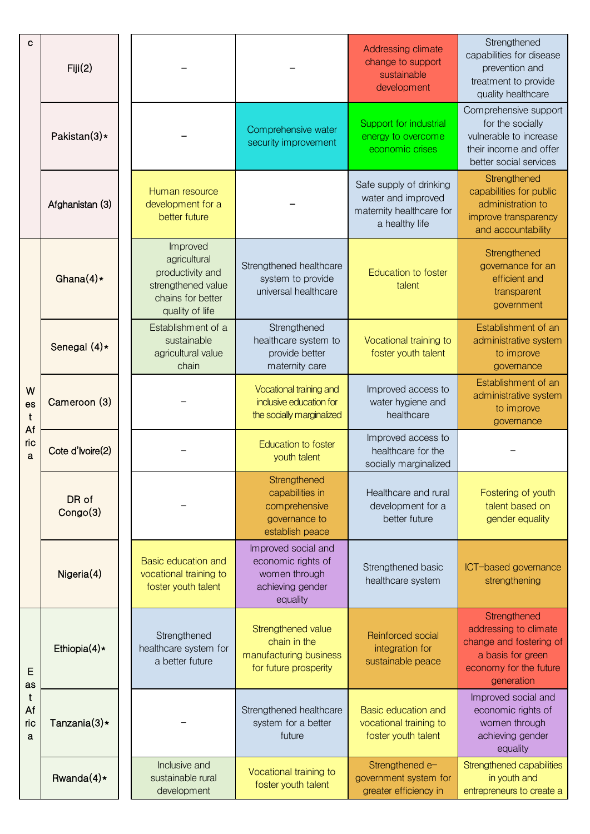| С                                        | Fiji(2)           |                                                                                                            |                                                                                            | Addressing climate<br>change to support<br>sustainable<br>development                       | Strengthened<br>capabilities for disease<br>prevention and<br>treatment to provide<br>quality healthcare                      |
|------------------------------------------|-------------------|------------------------------------------------------------------------------------------------------------|--------------------------------------------------------------------------------------------|---------------------------------------------------------------------------------------------|-------------------------------------------------------------------------------------------------------------------------------|
|                                          | Pakistan(3)*      |                                                                                                            | Comprehensive water<br>security improvement                                                | Support for industrial<br>energy to overcome<br>economic crises                             | Comprehensive support<br>for the socially<br>vulnerable to increase<br>their income and offer<br>better social services       |
|                                          | Afghanistan (3)   | Human resource<br>development for a<br>better future                                                       |                                                                                            | Safe supply of drinking<br>water and improved<br>maternity healthcare for<br>a healthy life | Strengthened<br>capabilities for public<br>administration to<br>improve transparency<br>and accountability                    |
|                                          | Ghana $(4)*$      | Improved<br>agricultural<br>productivity and<br>strengthened value<br>chains for better<br>quality of life | Strengthened healthcare<br>system to provide<br>universal healthcare                       | <b>Education to foster</b><br>talent                                                        | Strengthened<br>governance for an<br>efficient and<br>transparent<br>government                                               |
|                                          | Senegal $(4)*$    | Establishment of a<br>sustainable<br>agricultural value<br>chain                                           | Strengthened<br>healthcare system to<br>provide better<br>maternity care                   | Vocational training to<br>foster youth talent                                               | Establishment of an<br>administrative system<br>to improve<br>governance                                                      |
| W<br>es<br>$\mathbf t$<br>Af<br>ric<br>a | Cameroon (3)      |                                                                                                            | Vocational training and<br>inclusive education for<br>the socially marginalized            | Improved access to<br>water hygiene and<br>healthcare                                       | Establishment of an<br>administrative system<br>to improve<br>governance                                                      |
|                                          | Cote d'Ivoire(2)  |                                                                                                            | <b>Education to foster</b><br>youth talent                                                 | Improved access to<br>healthcare for the<br>socially marginalized                           |                                                                                                                               |
|                                          | DR of<br>Congo(3) |                                                                                                            | Strengthened<br>capabilities in<br>comprehensive<br>governance to<br>establish peace       | Healthcare and rural<br>development for a<br>better future                                  | Fostering of youth<br>talent based on<br>gender equality                                                                      |
|                                          | Nigeria(4)        | Basic education and<br>vocational training to<br>foster youth talent                                       | Improved social and<br>economic rights of<br>women through<br>achieving gender<br>equality | Strengthened basic<br>healthcare system                                                     | ICT-based governance<br>strengthening                                                                                         |
| E<br>as                                  | Ethiopia $(4)$ *  | Strengthened<br>healthcare system for<br>a better future                                                   | Strengthened value<br>chain in the<br>manufacturing business<br>for future prosperity      | Reinforced social<br>integration for<br>sustainable peace                                   | Strengthened<br>addressing to climate<br>change and fostering of<br>a basis for green<br>economy for the future<br>generation |
| t<br>Af<br>ric<br>a                      | Tanzania $(3)$ *  |                                                                                                            | Strengthened healthcare<br>system for a better<br>future                                   | Basic education and<br>vocational training to<br>foster youth talent                        | Improved social and<br>economic rights of<br>women through<br>achieving gender<br>equality                                    |
|                                          | Rwanda $(4)*$     | Inclusive and<br>sustainable rural<br>development                                                          | Vocational training to<br>foster youth talent                                              | Strengthened e-<br>government system for<br>greater efficiency in                           | Strengthened capabilities<br>in youth and<br>entrepreneurs to create a                                                        |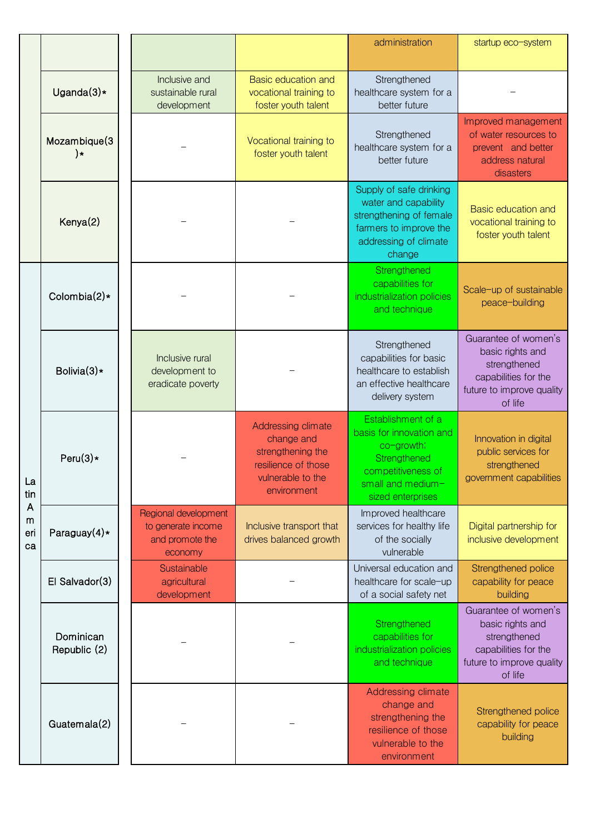|                     |                                |                                                                          |                                                                                                                  | administration                                                                                                                               | startup eco-system                                                                                                       |
|---------------------|--------------------------------|--------------------------------------------------------------------------|------------------------------------------------------------------------------------------------------------------|----------------------------------------------------------------------------------------------------------------------------------------------|--------------------------------------------------------------------------------------------------------------------------|
|                     | Uganda $(3)*$                  | Inclusive and<br>sustainable rural<br>development                        | Basic education and<br>vocational training to<br>foster youth talent                                             | Strengthened<br>healthcare system for a<br>better future                                                                                     |                                                                                                                          |
|                     | Mozambique(3<br>$\mathbf{)}$ * |                                                                          | Vocational training to<br>foster youth talent                                                                    | Strengthened<br>healthcare system for a<br>better future                                                                                     | Improved management<br>of water resources to<br>prevent and better<br>address natural<br>disasters                       |
|                     | Kenya(2)                       |                                                                          |                                                                                                                  | Supply of safe drinking<br>water and capability<br>strengthening of female<br>farmers to improve the<br>addressing of climate<br>change      | <b>Basic education and</b><br>vocational training to<br>foster youth talent                                              |
|                     | Colombia $(2)$ *               |                                                                          |                                                                                                                  | Strengthened<br>capabilities for<br>industrialization policies<br>and technique                                                              | Scale-up of sustainable<br>peace-building                                                                                |
| La<br>tin           | Bolivia $(3)*$                 | Inclusive rural<br>development to<br>eradicate poverty                   |                                                                                                                  | Strengthened<br>capabilities for basic<br>healthcare to establish<br>an effective healthcare<br>delivery system                              | Guarantee of women's<br>basic rights and<br>strengthened<br>capabilities for the<br>future to improve quality<br>of life |
|                     | Peru $(3)$ *                   |                                                                          | Addressing climate<br>change and<br>strengthening the<br>resilience of those<br>vulnerable to the<br>environment | Establishment of a<br>basis for innovation and<br>co-growth;<br>Strengthened<br>competitiveness of<br>small and medium-<br>sized enterprises | Innovation in digital<br>public services for<br>strengthened<br>government capabilities                                  |
| A<br>m<br>eri<br>ca | Paraguay $(4)*$                | Regional development<br>to generate income<br>and promote the<br>economy | Inclusive transport that<br>drives balanced growth                                                               | Improved healthcare<br>services for healthy life<br>of the socially<br>vulnerable                                                            | Digital partnership for<br>inclusive development                                                                         |
|                     | El Salvador(3)                 | Sustainable<br>agricultural<br>development                               |                                                                                                                  | Universal education and<br>healthcare for scale-up<br>of a social safety net                                                                 | Strengthened police<br>capability for peace<br>building                                                                  |
|                     | Dominican<br>Republic (2)      |                                                                          |                                                                                                                  | Strengthened<br>capabilities for<br>industrialization policies<br>and technique                                                              | Guarantee of women's<br>basic rights and<br>strengthened<br>capabilities for the<br>future to improve quality<br>of life |
|                     | Guatemala(2)                   |                                                                          |                                                                                                                  | Addressing climate<br>change and<br>strengthening the<br>resilience of those<br>vulnerable to the<br>environment                             | Strengthened police<br>capability for peace<br>building                                                                  |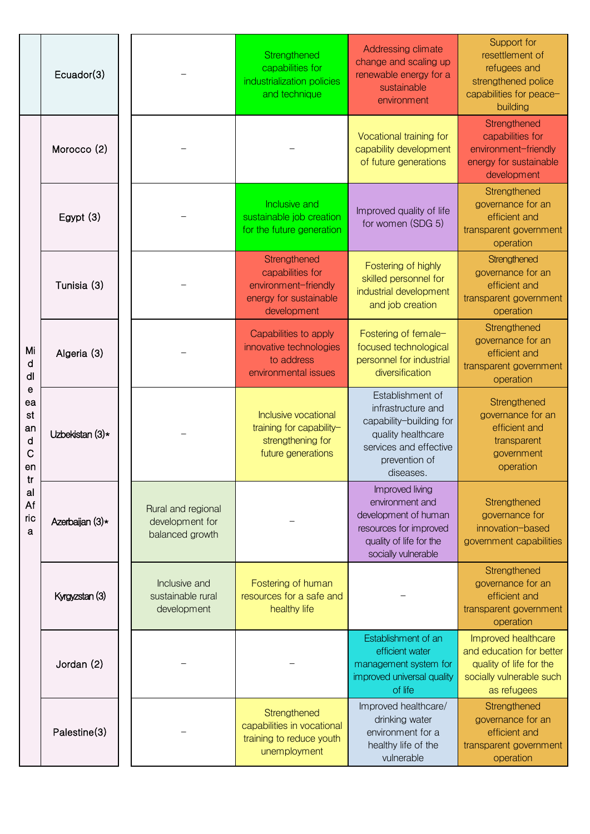|                                           | Ecuador(3)      |                                                          | Strengthened<br>capabilities for<br>industrialization policies<br>and technique                   | Addressing climate<br>change and scaling up<br>renewable energy for a<br>sustainable<br>environment                                             | Support for<br>resettlement of<br>refugees and<br>strengthened police<br>capabilities for peace-<br>building          |
|-------------------------------------------|-----------------|----------------------------------------------------------|---------------------------------------------------------------------------------------------------|-------------------------------------------------------------------------------------------------------------------------------------------------|-----------------------------------------------------------------------------------------------------------------------|
|                                           | Morocco (2)     |                                                          |                                                                                                   | Vocational training for<br>capability development<br>of future generations                                                                      | Strengthened<br>capabilities for<br>environment-friendly<br>energy for sustainable<br>development                     |
|                                           | Egypt $(3)$     |                                                          | Inclusive and<br>sustainable job creation<br>for the future generation                            | Improved quality of life<br>for women (SDG 5)                                                                                                   | Strengthened<br>governance for an<br>efficient and<br>transparent government<br>operation                             |
|                                           | Tunisia (3)     |                                                          | Strengthened<br>capabilities for<br>environment-friendly<br>energy for sustainable<br>development | Fostering of highly<br>skilled personnel for<br>industrial development<br>and job creation                                                      | Strengthened<br>governance for an<br>efficient and<br>transparent government<br>operation                             |
| Mi<br>d<br>dl                             | Algeria (3)     |                                                          | Capabilities to apply<br>innovative technologies<br>to address<br>environmental issues            | Fostering of female-<br>focused technological<br>personnel for industrial<br>diversification                                                    | Strengthened<br>governance for an<br>efficient and<br>transparent government<br>operation                             |
| e<br>ea<br>st<br>an<br>d<br>C<br>en<br>tr | Uzbekistan (3)* |                                                          | Inclusive vocational<br>training for capability-<br>strengthening for<br>future generations       | Establishment of<br>infrastructure and<br>capability-building for<br>quality healthcare<br>services and effective<br>prevention of<br>diseases. | Strengthened<br>governance for an<br>efficient and<br>transparent<br>government<br>operation                          |
| al<br>Af<br>ric<br>a                      | Azerbaijan (3)* | Rural and regional<br>development for<br>balanced growth |                                                                                                   | Improved living<br>environment and<br>development of human<br>resources for improved<br>quality of life for the<br>socially vulnerable          | Strengthened<br>governance for<br>innovation-based<br>government capabilities                                         |
|                                           | Kyrgyzstan (3)  | Inclusive and<br>sustainable rural<br>development        | Fostering of human<br>resources for a safe and<br>healthy life                                    |                                                                                                                                                 | Strengthened<br>governance for an<br>efficient and<br>transparent government<br>operation                             |
|                                           | Jordan (2)      |                                                          |                                                                                                   | Establishment of an<br>efficient water<br>management system for<br>improved universal quality<br>of life                                        | Improved healthcare<br>and education for better<br>quality of life for the<br>socially vulnerable such<br>as refugees |
|                                           | Palestine(3)    |                                                          | Strengthened<br>capabilities in vocational<br>training to reduce youth<br>unemployment            | Improved healthcare/<br>drinking water<br>environment for a<br>healthy life of the<br>vulnerable                                                | Strengthened<br>governance for an<br>efficient and<br>transparent government<br>operation                             |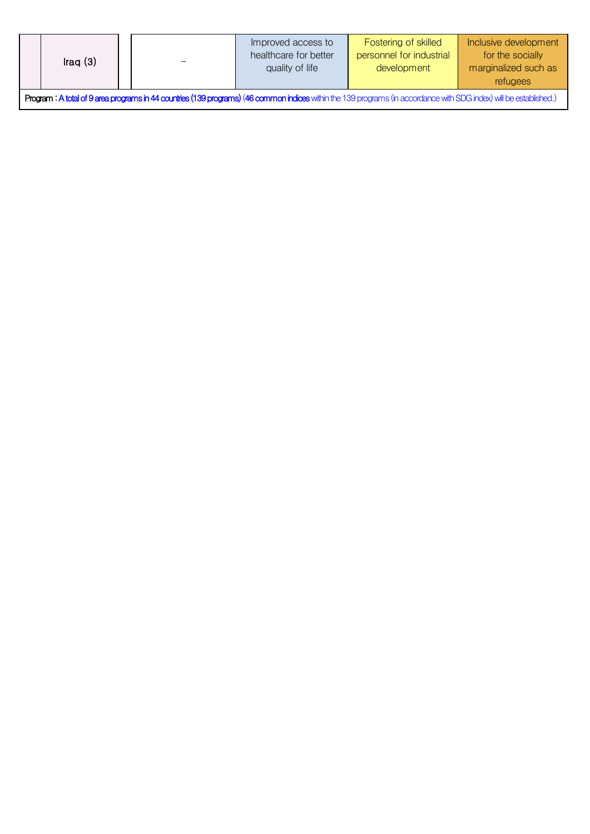| Iraq $(3)$                                                                                                                                                          |  |  | Improved access to<br>healthcare for better<br>quality of life | Fostering of skilled<br>personnel for industrial<br>development | Inclusive development<br>for the socially<br>marginalized such as<br>refugees |
|---------------------------------------------------------------------------------------------------------------------------------------------------------------------|--|--|----------------------------------------------------------------|-----------------------------------------------------------------|-------------------------------------------------------------------------------|
| Program : A total of 9 area programs in 44 countries (139 programs) (46 common indices within the 139 programs (in accordance with SDG index) will be established.) |  |  |                                                                |                                                                 |                                                                               |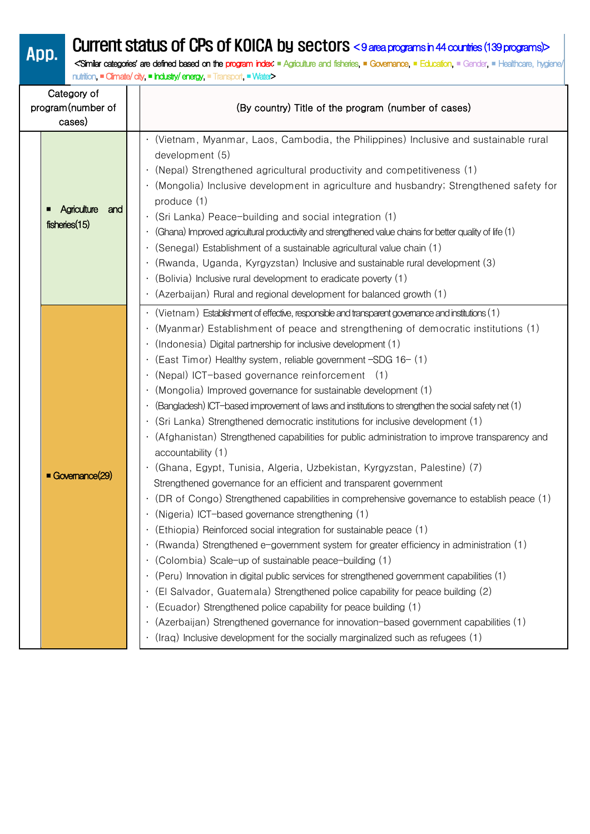# App. Current status of CPs of KOICA by sectors <9 area programs in 44 countries (139 programs)>

 <**'**Similar categories**'** are defined based on the program index: ■ Agriculture and fisheries, ■ Governance, ■ Education, ■ Gender, ■ Healthcare, hygiene/ nutrition, ■ Climate/ city, ■ Industry/ energy, ■ Transport, ■ Water>

| Category of<br>program(number of<br>cases)      | (By country) Title of the program (number of cases)                                                                                                                                                                                                                                                                                                                                                                                                                                                                                                                                                                                                                                                                                                                                                                                                                                                                                                                                                                                                                                                                                                                                                                                                                                                                                                                                                                                                                                                                                                                                                                                                                                                                                                                                              |
|-------------------------------------------------|--------------------------------------------------------------------------------------------------------------------------------------------------------------------------------------------------------------------------------------------------------------------------------------------------------------------------------------------------------------------------------------------------------------------------------------------------------------------------------------------------------------------------------------------------------------------------------------------------------------------------------------------------------------------------------------------------------------------------------------------------------------------------------------------------------------------------------------------------------------------------------------------------------------------------------------------------------------------------------------------------------------------------------------------------------------------------------------------------------------------------------------------------------------------------------------------------------------------------------------------------------------------------------------------------------------------------------------------------------------------------------------------------------------------------------------------------------------------------------------------------------------------------------------------------------------------------------------------------------------------------------------------------------------------------------------------------------------------------------------------------------------------------------------------------|
| <b>Agriculture</b><br>and<br>п<br>fisheries(15) | (Vietnam, Myanmar, Laos, Cambodia, the Philippines) Inclusive and sustainable rural<br>development (5)<br>(Nepal) Strengthened agricultural productivity and competitiveness (1)<br>(Mongolia) Inclusive development in agriculture and husbandry; Strengthened safety for<br>produce (1)<br>$\cdot$ (Sri Lanka) Peace-building and social integration (1)<br>(Ghana) Improved agricultural productivity and strengthened value chains for better quality of life (1)<br>(Senegal) Establishment of a sustainable agricultural value chain (1)<br>(Rwanda, Uganda, Kyrgyzstan) Inclusive and sustainable rural development (3)<br>(Bolivia) Inclusive rural development to eradicate poverty (1)<br>(Azerbaijan) Rural and regional development for balanced growth (1)                                                                                                                                                                                                                                                                                                                                                                                                                                                                                                                                                                                                                                                                                                                                                                                                                                                                                                                                                                                                                          |
| Governance(29)                                  | $\cdot$ (Vietnam) Establishment of effective, responsible and transparent governance and institutions (1)<br>(Myanmar) Establishment of peace and strengthening of democratic institutions (1)<br>(Indonesia) Digital partnership for inclusive development (1)<br>(East Timor) Healthy system, reliable government -SDG 16- (1)<br>(Nepal) ICT-based governance reinforcement (1)<br>(Mongolia) Improved governance for sustainable development (1)<br>(Bangladesh) ICT-based improvement of laws and institutions to strengthen the social safety net (1)<br>$\bullet$<br>(Sri Lanka) Strengthened democratic institutions for inclusive development (1)<br>(Afghanistan) Strengthened capabilities for public administration to improve transparency and<br>accountability (1)<br>(Ghana, Egypt, Tunisia, Algeria, Uzbekistan, Kyrgyzstan, Palestine) (7)<br>$\bullet$<br>Strengthened governance for an efficient and transparent government<br>(DR of Congo) Strengthened capabilities in comprehensive governance to establish peace (1)<br>(Nigeria) ICT-based governance strengthening (1)<br>(Ethiopia) Reinforced social integration for sustainable peace (1)<br>(Rwanda) Strengthened e-government system for greater efficiency in administration (1)<br>(Colombia) Scale-up of sustainable peace-building (1)<br>$\bullet$<br>(Peru) Innovation in digital public services for strengthened government capabilities (1)<br>(El Salvador, Guatemala) Strengthened police capability for peace building (2)<br>$\bullet$<br>(Ecuador) Strengthened police capability for peace building (1)<br>(Azerbaijan) Strengthened governance for innovation-based government capabilities (1)<br>(Iraq) Inclusive development for the socially marginalized such as refugees (1)<br>$\bullet$ |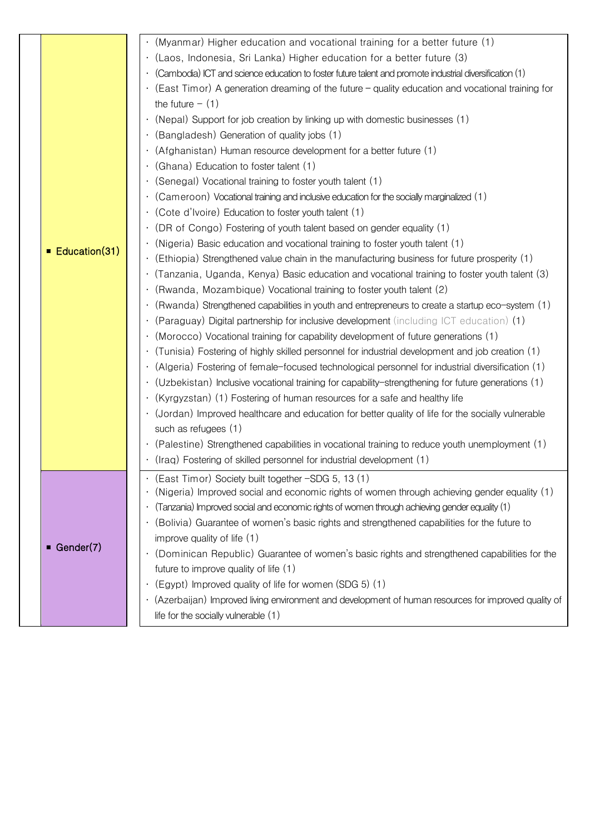|               | (Myanmar) Higher education and vocational training for a better future (1)                              |
|---------------|---------------------------------------------------------------------------------------------------------|
|               | · (Laos, Indonesia, Sri Lanka) Higher education for a better future (3)                                 |
|               | (Cambodia) ICT and science education to foster future talent and promote industrial diversification (1) |
|               | (East Timor) A generation dreaming of the future – quality education and vocational training for        |
|               | the future $-$ (1)                                                                                      |
|               | (Nepal) Support for job creation by linking up with domestic businesses (1)                             |
|               | (Bangladesh) Generation of quality jobs (1)                                                             |
|               | (Afghanistan) Human resource development for a better future (1)                                        |
|               | (Ghana) Education to foster talent (1)                                                                  |
|               | (Senegal) Vocational training to foster youth talent (1)                                                |
|               | (Cameroon) Vocational training and inclusive education for the socially marginalized (1)                |
|               | $\cdot$ (Cote d'Ivoire) Education to foster youth talent (1)                                            |
|               | (DR of Congo) Fostering of youth talent based on gender equality (1)                                    |
|               | (Nigeria) Basic education and vocational training to foster youth talent (1)                            |
| Education(31) | (Ethiopia) Strengthened value chain in the manufacturing business for future prosperity (1)             |
|               | (Tanzania, Uganda, Kenya) Basic education and vocational training to foster youth talent (3)            |
|               | (Rwanda, Mozambique) Vocational training to foster youth talent (2)                                     |
|               | (Rwanda) Strengthened capabilities in youth and entrepreneurs to create a startup eco-system (1)        |
|               | (Paraguay) Digital partnership for inclusive development (including ICT education) (1)                  |
|               | (Morocco) Vocational training for capability development of future generations (1)                      |
|               | (Tunisia) Fostering of highly skilled personnel for industrial development and job creation (1)         |
|               | (Algeria) Fostering of female-focused technological personnel for industrial diversification (1)        |
|               | (Uzbekistan) Inclusive vocational training for capability-strengthening for future generations (1)      |
|               | · (Kyrgyzstan) (1) Fostering of human resources for a safe and healthy life                             |
|               |                                                                                                         |
|               | (Jordan) Improved healthcare and education for better quality of life for the socially vulnerable       |
|               | such as refugees (1)                                                                                    |
|               | (Palestine) Strengthened capabilities in vocational training to reduce youth unemployment (1)           |
|               | (Iraq) Fostering of skilled personnel for industrial development (1)                                    |
|               | (East Timor) Society built together -SDG 5, 13 (1)                                                      |
|               | (Nigeria) Improved social and economic rights of women through achieving gender equality (1)            |
|               | (Tanzania) Improved social and economic rights of women through achieving gender equality (1)           |
|               | (Bolivia) Guarantee of women's basic rights and strengthened capabilities for the future to             |
| ■ Gender(7)   | improve quality of life (1)                                                                             |
|               | (Dominican Republic) Guarantee of women's basic rights and strengthened capabilities for the            |
|               | future to improve quality of life (1)                                                                   |
|               | (Egypt) Improved quality of life for women (SDG 5) (1)                                                  |
|               | · (Azerbaijan) Improved living environment and development of human resources for improved quality of   |
|               | life for the socially vulnerable (1)                                                                    |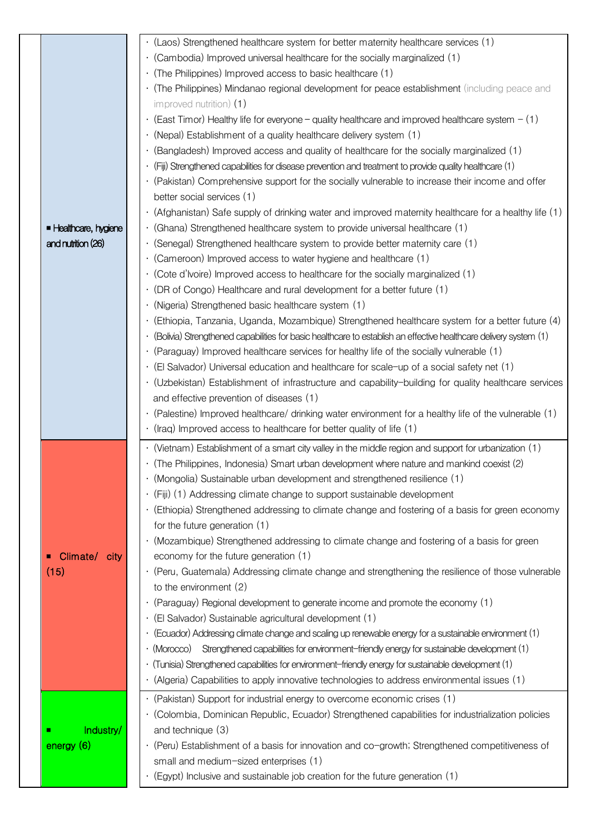|                     | · (Laos) Strengthened healthcare system for better maternity healthcare services (1)                              |
|---------------------|-------------------------------------------------------------------------------------------------------------------|
|                     | (Cambodia) Improved universal healthcare for the socially marginalized (1)                                        |
|                     | $\cdot$ (The Philippines) Improved access to basic healthcare (1)                                                 |
|                     | (The Philippines) Mindanao regional development for peace establishment (including peace and                      |
|                     |                                                                                                                   |
|                     | improved nutrition) $(1)$                                                                                         |
|                     | $\cdot$ (East Timor) Healthy life for everyone – quality healthcare and improved healthcare system – (1)          |
|                     | (Nepal) Establishment of a quality healthcare delivery system (1)                                                 |
|                     | · (Bangladesh) Improved access and quality of healthcare for the socially marginalized (1)                        |
|                     | $\cdot$ (Fiji) Strengthened capabilities for disease prevention and treatment to provide quality healthcare (1)   |
|                     | (Pakistan) Comprehensive support for the socially vulnerable to increase their income and offer                   |
|                     | better social services (1)                                                                                        |
|                     | (Afghanistan) Safe supply of drinking water and improved maternity healthcare for a healthy life (1)              |
| Healthcare, hygiene | $\cdot$ (Ghana) Strengthened healthcare system to provide universal healthcare (1)                                |
| and nutrition (26)  | $\cdot$ (Senegal) Strengthened healthcare system to provide better maternity care (1)                             |
|                     | (Cameroon) Improved access to water hygiene and healthcare (1)                                                    |
|                     | $\cdot$ (Cote d'Ivoire) Improved access to healthcare for the socially marginalized (1)                           |
|                     | (DR of Congo) Healthcare and rural development for a better future (1)                                            |
|                     | · (Nigeria) Strengthened basic healthcare system (1)                                                              |
|                     | (Ethiopia, Tanzania, Uganda, Mozambique) Strengthened healthcare system for a better future (4)                   |
|                     | (Bolivia) Strengthened capabilities for basic healthcare to establish an effective healthcare delivery system (1) |
|                     | $\cdot$ (Paraguay) Improved healthcare services for healthy life of the socially vulnerable (1)                   |
|                     | (El Salvador) Universal education and healthcare for scale-up of a social safety net (1)                          |
|                     | · (Uzbekistan) Establishment of infrastructure and capability-building for quality healthcare services            |
|                     | and effective prevention of diseases (1)                                                                          |
|                     |                                                                                                                   |
|                     |                                                                                                                   |
|                     | (1) (Palestine) Improved healthcare/ drinking water environment for a healthy life of the vulnerable (1)          |
|                     | $\cdot$ (Iraq) Improved access to healthcare for better quality of life (1)                                       |
|                     | $\cdot$ (Vietnam) Establishment of a smart city valley in the middle region and support for urbanization (1)      |
|                     | · (The Philippines, Indonesia) Smart urban development where nature and mankind coexist (2)                       |
|                     | (Mongolia) Sustainable urban development and strengthened resilience (1)                                          |
|                     | · (Fiji) (1) Addressing climate change to support sustainable development                                         |
|                     | · (Ethiopia) Strengthened addressing to climate change and fostering of a basis for green economy                 |
|                     | for the future generation (1)                                                                                     |
|                     | · (Mozambique) Strengthened addressing to climate change and fostering of a basis for green                       |
| Climate/ city       | economy for the future generation (1)                                                                             |
| (15)                | · (Peru, Guatemala) Addressing climate change and strengthening the resilience of those vulnerable                |
|                     | to the environment (2)                                                                                            |
|                     | (Paraguay) Regional development to generate income and promote the economy (1)                                    |
|                     | · (El Salvador) Sustainable agricultural development (1)                                                          |
|                     |                                                                                                                   |
|                     | (Ecuador) Addressing climate change and scaling up renewable energy for a sustainable environment (1)             |
|                     | Strengthened capabilities for environment-friendly energy for sustainable development (1)<br>· (Morocco)          |
|                     | (Tunisia) Strengthened capabilities for environment-friendly energy for sustainable development (1)               |
|                     | (Algeria) Capabilities to apply innovative technologies to address environmental issues (1)                       |
|                     | (Pakistan) Support for industrial energy to overcome economic crises (1)                                          |
|                     | · (Colombia, Dominican Republic, Ecuador) Strengthened capabilities for industrialization policies                |
| Industry/           | and technique (3)                                                                                                 |
| energy (6)          | · (Peru) Establishment of a basis for innovation and co-growth; Strengthened competitiveness of                   |
|                     | small and medium-sized enterprises (1)                                                                            |